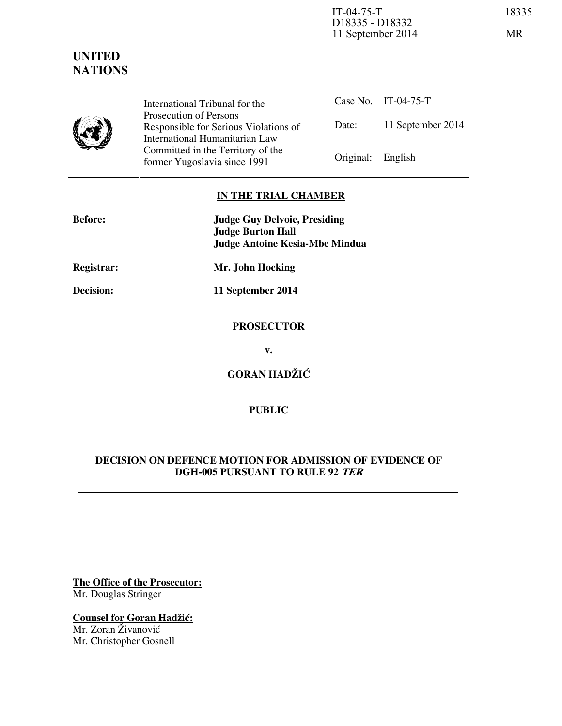IT-04-75-T 18335 D18335 - D18332 11 September 2014 MR

# **UNITED NATIONS**



International Tribunal for the Prosecution of Persons Responsible for Serious Violations of International Humanitarian Law Committed in the Territory of the Former Yugoslavia since 1991 Original: English

Case No. IT-04-75-T Date: 11 September 2014

## **IN THE TRIAL CHAMBER**

| <b>Before:</b> | <b>Judge Guy Delvoie, Presiding</b><br><b>Judge Burton Hall</b> |
|----------------|-----------------------------------------------------------------|
|                | <b>Judge Antoine Kesia-Mbe Mindua</b>                           |
| Registrar:     | Mr. John Hocking                                                |
| Decision:      | 11 September 2014                                               |
|                | <b>PROSECUTOR</b>                                               |
|                | v.                                                              |
|                | <b>GORAN HADŽIĆ</b>                                             |
|                |                                                                 |

## **DECISION ON DEFENCE MOTION FOR ADMISSION OF EVIDENCE OF DGH-005 PURSUANT TO RULE 92 TER**

**PUBLIC** 

**The Office of the Prosecutor:** Mr. Douglas Stringer

**Counsel for Goran Hadžić:** Mr. Zoran Živanović Mr. Christopher Gosnell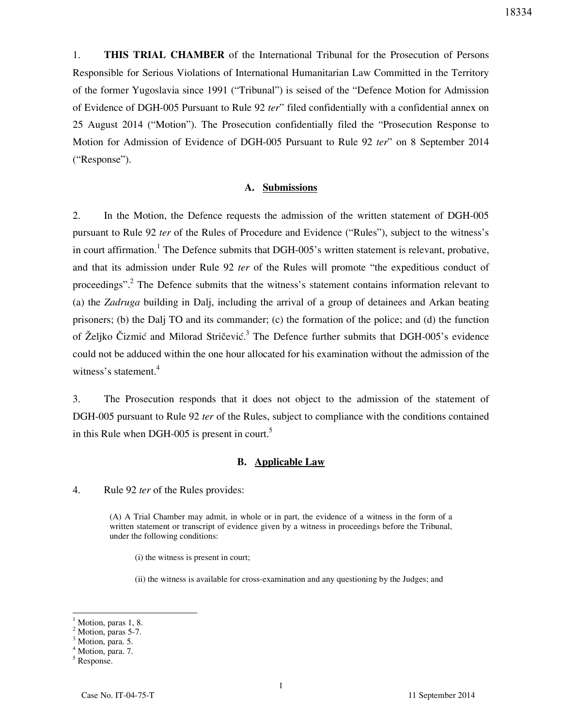1. **THIS TRIAL CHAMBER** of the International Tribunal for the Prosecution of Persons Responsible for Serious Violations of International Humanitarian Law Committed in the Territory of the former Yugoslavia since 1991 ("Tribunal") is seised of the "Defence Motion for Admission of Evidence of DGH-005 Pursuant to Rule 92 *ter*" filed confidentially with a confidential annex on 25 August 2014 ("Motion"). The Prosecution confidentially filed the "Prosecution Response to Motion for Admission of Evidence of DGH-005 Pursuant to Rule 92 *ter*" on 8 September 2014 ("Response").

#### **A. Submissions**

2. In the Motion, the Defence requests the admission of the written statement of DGH-005 pursuant to Rule 92 *ter* of the Rules of Procedure and Evidence ("Rules"), subject to the witness's in court affirmation.<sup>1</sup> The Defence submits that DGH-005's written statement is relevant, probative, and that its admission under Rule 92 *ter* of the Rules will promote "the expeditious conduct of proceedings".<sup>2</sup> The Defence submits that the witness's statement contains information relevant to (a) the *Zadruga* building in Dalj, including the arrival of a group of detainees and Arkan beating prisoners; (b) the Dalj TO and its commander; (c) the formation of the police; and (d) the function of Željko Čizmić and Milorad Stričević.<sup>3</sup> The Defence further submits that DGH-005's evidence could not be adduced within the one hour allocated for his examination without the admission of the witness's statement. $4$ 

3. The Prosecution responds that it does not object to the admission of the statement of DGH-005 pursuant to Rule 92 *ter* of the Rules, subject to compliance with the conditions contained in this Rule when DGH-005 is present in court.<sup>5</sup>

#### **B. Applicable Law**

4. Rule 92 *ter* of the Rules provides:

(A) A Trial Chamber may admit, in whole or in part, the evidence of a witness in the form of a written statement or transcript of evidence given by a witness in proceedings before the Tribunal, under the following conditions:

(i) the witness is present in court;

(ii) the witness is available for cross-examination and any questioning by the Judges; and

<sup>1</sup> Motion, paras 1, 8.

<sup>&</sup>lt;sup>2</sup> Motion, paras 5-7.

<sup>&</sup>lt;sup>3</sup> Motion, para. 5.

<sup>&</sup>lt;sup>4</sup> Motion, para. 7.

<sup>5</sup> Response.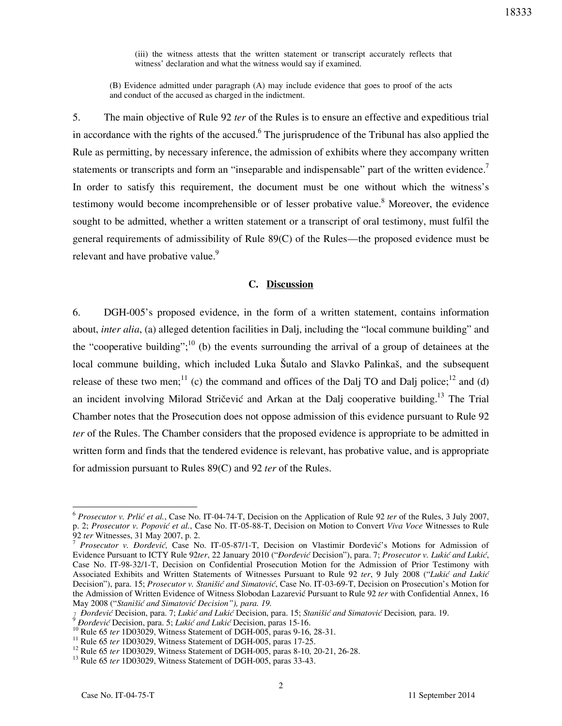(iii) the witness attests that the written statement or transcript accurately reflects that witness' declaration and what the witness would say if examined.

(B) Evidence admitted under paragraph (A) may include evidence that goes to proof of the acts and conduct of the accused as charged in the indictment.

5. The main objective of Rule 92 *ter* of the Rules is to ensure an effective and expeditious trial in accordance with the rights of the accused.<sup>6</sup> The jurisprudence of the Tribunal has also applied the Rule as permitting, by necessary inference, the admission of exhibits where they accompany written statements or transcripts and form an "inseparable and indispensable" part of the written evidence.<sup>7</sup> In order to satisfy this requirement, the document must be one without which the witness's testimony would become incomprehensible or of lesser probative value.<sup>8</sup> Moreover, the evidence sought to be admitted, whether a written statement or a transcript of oral testimony, must fulfil the general requirements of admissibility of Rule 89(C) of the Rules—the proposed evidence must be relevant and have probative value.<sup>9</sup>

#### **C. Discussion**

6. DGH-005's proposed evidence, in the form of a written statement, contains information about, *inter alia*, (a) alleged detention facilities in Dalj, including the "local commune building" and the "cooperative building";<sup>10</sup> (b) the events surrounding the arrival of a group of detainees at the local commune building, which included Luka Šutalo and Slavko Palinkaš, and the subsequent release of these two men;<sup>11</sup> (c) the command and offices of the Dalj TO and Dalj police;<sup>12</sup> and (d) an incident involving Milorad Stričević and Arkan at the Dalj cooperative building.<sup>13</sup> The Trial Chamber notes that the Prosecution does not oppose admission of this evidence pursuant to Rule 92 *ter* of the Rules. The Chamber considers that the proposed evidence is appropriate to be admitted in written form and finds that the tendered evidence is relevant, has probative value, and is appropriate for admission pursuant to Rules 89(C) and 92 *ter* of the Rules.

<sup>&</sup>lt;sup>6</sup> Prosecutor v. Prlić et al., Case No. IT-04-74-T, Decision on the Application of Rule 92 *ter* of the Rules, 3 July 2007, p. 2; Prosecutor v. Popović et al., Case No. IT-05-88-T, Decision on Motion to Convert *Viva Voce* Witnesses to Rule 92 *ter* Witnesses, 31 May 2007, p. 2.

<sup>&</sup>lt;sup>7</sup> Prosecutor v. Đorđević, Case No. IT-05-87/1-T, Decision on Vlastimir Đorđević's Motions for Admission of Evidence Pursuant to ICTY Rule 92ter, 22 January 2010 ("*Đorđević* Decision"), para. 7; Prosecutor v. Lukić and Lukić, Case No. IT-98-32/1-T, Decision on Confidential Prosecution Motion for the Admission of Prior Testimony with Associated Exhibits and Written Statements of Witnesses Pursuant to Rule 92 ter, 9 July 2008 ("Lukić and Lukić Decision"), para. 15; *Prosecutor v. Stanišić and Simatović*, Case No. IT-03-69-T, Decision on Prosecution's Motion for the Admission of Written Evidence of Witness Slobodan Lazarevic Pursuant to Rule 92 *ter* with Confidential Annex, 16 May 2008 ("Stanišić and Simatović Decision"), para. 19.

<sup>&</sup>lt;sup>7</sup> Dorđević Decision, para. 7; *Lukić and Lukić* Decision, para. 15; *Stanišić and Simatović* Decision, para. 19.

*Đorđević* Decision, para. 5; *Lukić and Lukić* Decision, paras 15-16.

<sup>&</sup>lt;sup>10</sup> Rule 65 *ter* 1D03029, Witness Statement of DGH-005, paras 9-16, 28-31.

<sup>&</sup>lt;sup>11</sup> Rule 65 *ter* 1D03029, Witness Statement of DGH-005, paras 17-25.

<sup>&</sup>lt;sup>12</sup> Rule 65 *ter* 1D03029, Witness Statement of DGH-005, paras 8-10, 20-21, 26-28.

<sup>13</sup> Rule 65 *ter* 1D03029, Witness Statement of DGH-005, paras 33-43.